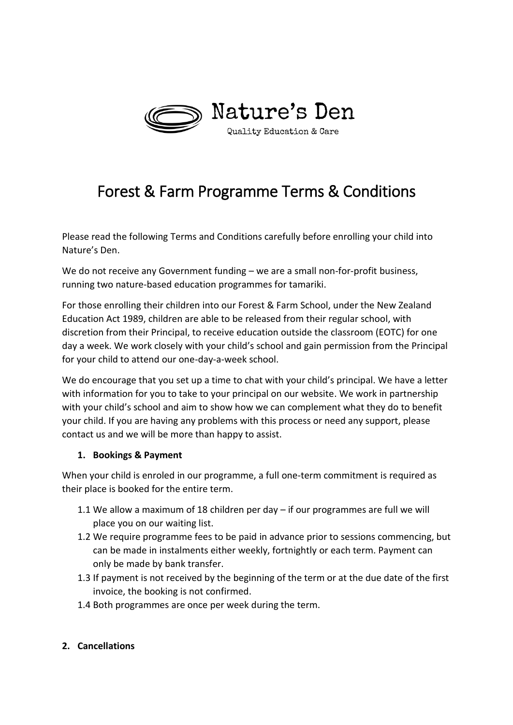

# Forest & Farm Programme Terms & Conditions

Please read the following Terms and Conditions carefully before enrolling your child into Nature's Den.

We do not receive any Government funding – we are a small non-for-profit business, running two nature-based education programmes for tamariki.

For those enrolling their children into our Forest & Farm School, under the New Zealand Education Act 1989, children are able to be released from their regular school, with discretion from their Principal, to receive education outside the classroom (EOTC) for one day a week. We work closely with your child's school and gain permission from the Principal for your child to attend our one-day-a-week school.

We do encourage that you set up a time to chat with your child's principal. We have a letter with information for you to take to your principal on our website. We work in partnership with your child's school and aim to show how we can complement what they do to benefit your child. If you are having any problems with this process or need any support, please contact us and we will be more than happy to assist.

### **1. Bookings & Payment**

When your child is enroled in our programme, a full one-term commitment is required as their place is booked for the entire term.

- 1.1 We allow a maximum of 18 children per day if our programmes are full we will place you on our waiting list.
- 1.2 We require programme fees to be paid in advance prior to sessions commencing, but can be made in instalments either weekly, fortnightly or each term. Payment can only be made by bank transfer.
- 1.3 If payment is not received by the beginning of the term or at the due date of the first invoice, the booking is not confirmed.
- 1.4 Both programmes are once per week during the term.
- **2. Cancellations**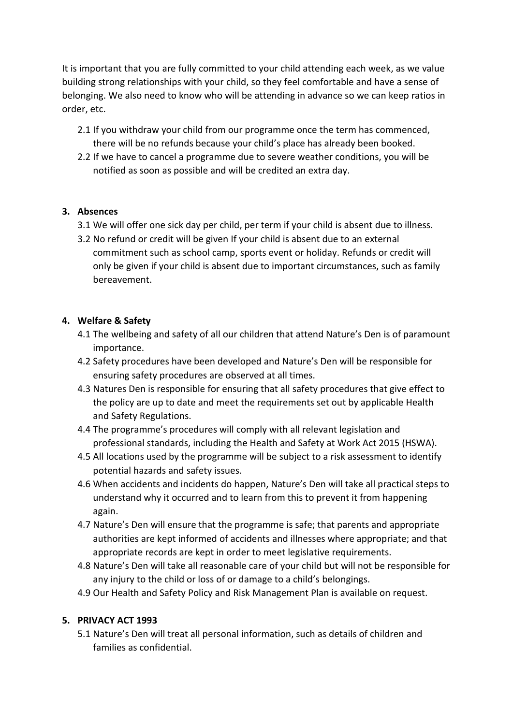It is important that you are fully committed to your child attending each week, as we value building strong relationships with your child, so they feel comfortable and have a sense of belonging. We also need to know who will be attending in advance so we can keep ratios in order, etc.

- 2.1 If you withdraw your child from our programme once the term has commenced, there will be no refunds because your child's place has already been booked.
- 2.2 If we have to cancel a programme due to severe weather conditions, you will be notified as soon as possible and will be credited an extra day.

# **3. Absences**

- 3.1 We will offer one sick day per child, per term if your child is absent due to illness.
- 3.2 No refund or credit will be given If your child is absent due to an external commitment such as school camp, sports event or holiday. Refunds or credit will only be given if your child is absent due to important circumstances, such as family bereavement.

### **4. Welfare & Safety**

- 4.1 The wellbeing and safety of all our children that attend Nature's Den is of paramount importance.
- 4.2 Safety procedures have been developed and Nature's Den will be responsible for ensuring safety procedures are observed at all times.
- 4.3 Natures Den is responsible for ensuring that all safety procedures that give effect to the policy are up to date and meet the requirements set out by applicable Health and Safety Regulations.
- 4.4 The programme's procedures will comply with all relevant legislation and professional standards, including the Health and Safety at Work Act 2015 (HSWA).
- 4.5 All locations used by the programme will be subject to a risk assessment to identify potential hazards and safety issues.
- 4.6 When accidents and incidents do happen, Nature's Den will take all practical steps to understand why it occurred and to learn from this to prevent it from happening again.
- 4.7 Nature's Den will ensure that the programme is safe; that parents and appropriate authorities are kept informed of accidents and illnesses where appropriate; and that appropriate records are kept in order to meet legislative requirements.
- 4.8 Nature's Den will take all reasonable care of your child but will not be responsible for any injury to the child or loss of or damage to a child's belongings.
- 4.9 Our Health and Safety Policy and Risk Management Plan is available on request.

### **5. PRIVACY ACT 1993**

5.1 Nature's Den will treat all personal information, such as details of children and families as confidential.